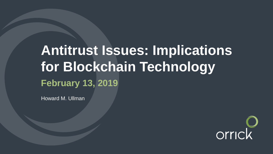# **Antitrust Issues: Implications for Blockchain Technology February 13, 2019**

Howard M. Ullman

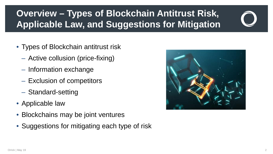## **Overview – Types of Blockchain Antitrust Risk, Applicable Law, and Suggestions for Mitigation**



- Types of Blockchain antitrust risk
	- Active collusion (price-fixing)
	- Information exchange
	- Exclusion of competitors
	- Standard-setting
- Applicable law
- Blockchains may be joint ventures
- Suggestions for mitigating each type of risk

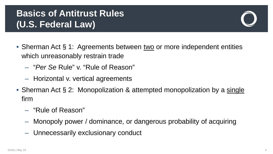### **Basics of Antitrust Rules (U.S. Federal Law)**

- Sherman Act § 1: Agreements between two or more independent entities which unreasonably restrain trade
	- "*Per Se* Rule" v. "Rule of Reason"
	- Horizontal v. vertical agreements
- Sherman Act § 2: Monopolization & attempted monopolization by a single firm
	- "Rule of Reason"
	- Monopoly power / dominance, or dangerous probability of acquiring
	- Unnecessarily exclusionary conduct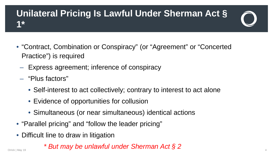#### **Unilateral Pricing Is Lawful Under Sherman Act § 1\***

- "Contract, Combination or Conspiracy" (or "Agreement" or "Concerted Practice") is required
	- Express agreement; inference of conspiracy
	- "Plus factors"
		- Self-interest to act collectively; contrary to interest to act alone
		- Evidence of opportunities for collusion
		- Simultaneous (or near simultaneous) identical actions
- "Parallel pricing" and "follow the leader pricing"
- Difficult line to draw in litigation
- *\* But may be unlawful under Sherman Act § 2* Orrick | May 19 44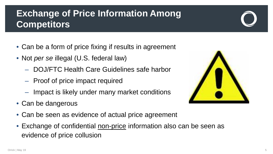#### **Exchange of Price Information Among Competitors**

- Can be a form of price fixing if results in agreement
- Not *per se* illegal (U.S. federal law)
	- DOJ/FTC Health Care Guidelines safe harbor
	- Proof of price impact required
	- Impact is likely under many market conditions
- Can be dangerous
- Can be seen as evidence of actual price agreement
- Exchange of confidential non-price information also can be seen as evidence of price collusion

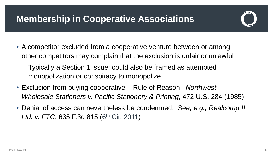### **Membership in Cooperative Associations**



- A competitor excluded from a cooperative venture between or among other competitors may complain that the exclusion is unfair or unlawful
	- Typically a Section 1 issue; could also be framed as attempted monopolization or conspiracy to monopolize
- Exclusion from buying cooperative Rule of Reason. *Northwest Wholesale Stationers v. Pacific Stationery & Printing*, 472 U.S. 284 (1985)
- Denial of access can nevertheless be condemned. *See, e.g., Realcomp II Ltd. v. FTC*, 635 F.3d 815 (6<sup>th</sup> Cir. 2011)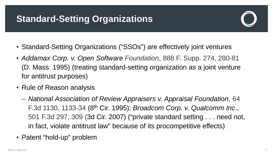### **Standard-Setting Organizations**



- Standard-Setting Organizations ("SSOs") are effectively joint ventures
- *Addamax Corp. v. Open Software Foundation*, 888 F. Supp. 274, 280-81 (D. Mass. 1995) (treating standard-setting organization as a joint venture for antitrust purposes)
- Rule of Reason analysis
	- *National Association of Review Appraisers v. Appraisal Foundation*, 64 F.3d 1130, 1133-34 (8th Cir. 1995); *Broadcom Corp. v. Qualcomm Inc*., 501 F.3d 297, 309 (3d Cir. 2007) ("private standard setting . . . need not, in fact, violate antitrust law" because of its procompetitive effects)
- Patent "hold-up" problem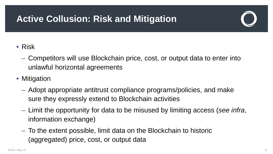### **Active Collusion: Risk and Mitigation**

#### • Risk

- Competitors will use Blockchain price, cost, or output data to enter into unlawful horizontal agreements
- Mitigation
	- Adopt appropriate antitrust compliance programs/policies, and make sure they expressly extend to Blockchain activities
	- Limit the opportunity for data to be misused by limiting access (*see infra*, information exchange)
	- To the extent possible, limit data on the Blockchain to historic (aggregated) price, cost, or output data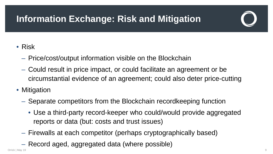## **Information Exchange: Risk and Mitigation**

#### • Risk

- Price/cost/output information visible on the Blockchain
- Could result in price impact, or could facilitate an agreement or be circumstantial evidence of an agreement; could also deter price-cutting
- Mitigation
	- Separate competitors from the Blockchain recordkeeping function
		- Use a third-party record-keeper who could/would provide aggregated reports or data (but: costs and trust issues)
	- Firewalls at each competitor (perhaps cryptographically based)
	- Record aged, aggregated data (where possible)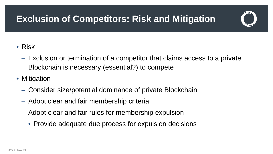### **Exclusion of Competitors: Risk and Mitigation**



#### • Risk

- Exclusion or termination of a competitor that claims access to a private Blockchain is necessary (essential?) to compete
- Mitigation
	- Consider size/potential dominance of private Blockchain
	- Adopt clear and fair membership criteria
	- Adopt clear and fair rules for membership expulsion
		- Provide adequate due process for expulsion decisions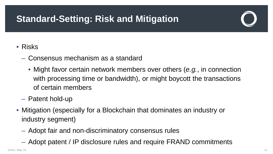### **Standard-Setting: Risk and Mitigation**

#### • Risks

- Consensus mechanism as a standard
	- Might favor certain network members over others (*e.g.*, in connection with processing time or bandwidth), or might boycott the transactions of certain members
- Patent hold-up
- Mitigation (especially for a Blockchain that dominates an industry or industry segment)
	- Adopt fair and non-discriminatory consensus rules
	- Adopt patent / IP disclosure rules and require FRAND commitments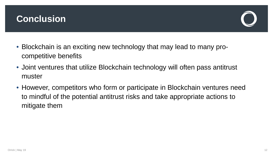#### **Conclusion**



- Blockchain is an exciting new technology that may lead to many procompetitive benefits
- Joint ventures that utilize Blockchain technology will often pass antitrust muster
- However, competitors who form or participate in Blockchain ventures need to mindful of the potential antitrust risks and take appropriate actions to mitigate them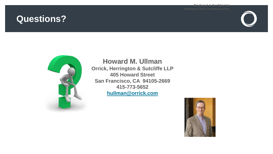#### **Questions?**

**Privileged & Confidential**





#### **Howard M. Ullman**

**Orrick, Herrington & Sutcliffe LLP 405 Howard Street San Francisco, CA 94105-2669 415-773-5652 [hullman@orrick.com](mailto:hullman@orrick.com)**